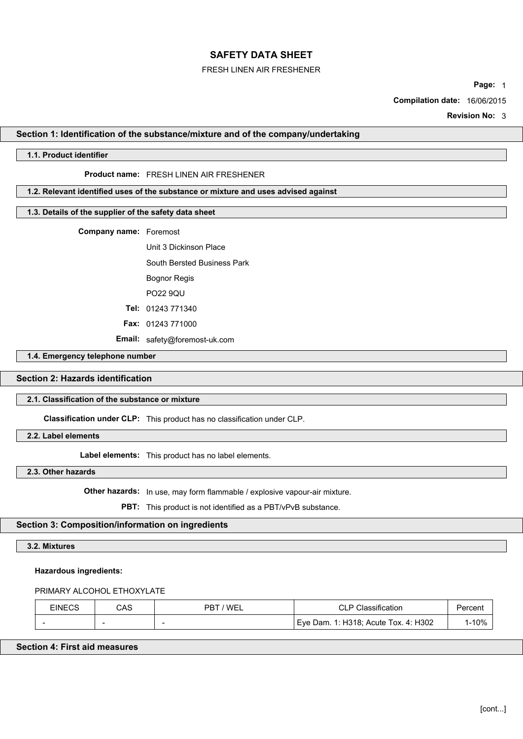### FRESH LINEN AIR FRESHENER

**Page:** 1

**Compilation date:** 16/06/2015

**Revision No:** 3

# **Section 1: Identification of the substance/mixture and of the company/undertaking**

### **1.1. Product identifier**

### **Product name:** FRESH LINEN AIR FRESHENER

# **1.2. Relevant identified uses of the substance or mixture and uses advised against**

### **1.3. Details of the supplier of the safety data sheet**

**Company name:** Foremost

Unit 3 Dickinson Place South Bersted Business Park Bognor Regis PO22 9QU

**Tel:** 01243 771340

**Fax:** 01243 771000

**Email:** safety@foremost-uk.com

#### **1.4. Emergency telephone number**

# **Section 2: Hazards identification**

# **2.1. Classification of the substance or mixture**

**Classification under CLP:** This product has no classification under CLP.

**2.2. Label elements**

**Label elements:** This product has no label elements.

**2.3. Other hazards**

**Other hazards:** In use, may form flammable / explosive vapour-air mixture.

**PBT:** This product is not identified as a PBT/vPvB substance.

## **Section 3: Composition/information on ingredients**

# **3.2. Mixtures**

#### **Hazardous ingredients:**

### PRIMARY ALCOHOL ETHOXYLATE

| EINECS | ے م<br>uno               | <b>WE</b><br>םם<br>_ | .<br>ח ור<br>ੋcation<br>◡∟                                        | ercent |
|--------|--------------------------|----------------------|-------------------------------------------------------------------|--------|
| -      | $\overline{\phantom{a}}$ | -                    | H302<br>.٥٠ د ت<br>Acute<br>Tox.<br>)am<br>Eve<br><b>4</b><br>. . | 1-10%  |

# **Section 4: First aid measures**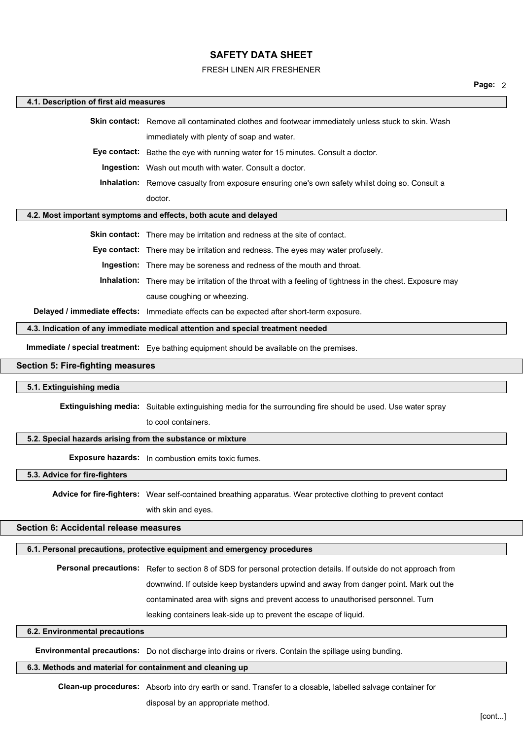#### FRESH LINEN AIR FRESHENER

#### **4.1. Description of first aid measures**

**Skin contact:** Remove all contaminated clothes and footwear immediately unless stuck to skin. Wash immediately with plenty of soap and water.

**Eye contact:** Bathe the eye with running water for 15 minutes. Consult a doctor.

**Ingestion:** Wash out mouth with water. Consult a doctor.

**Inhalation:** Remove casualty from exposure ensuring one's own safety whilst doing so. Consult a doctor.

## **4.2. Most important symptoms and effects, both acute and delayed**

**Skin contact:** There may be irritation and redness at the site of contact.

**Eye contact:** There may be irritation and redness. The eyes may water profusely.

**Ingestion:** There may be soreness and redness of the mouth and throat.

**Inhalation:** There may be irritation of the throat with a feeling of tightness in the chest. Exposure may cause coughing or wheezing.

**Delayed / immediate effects:** Immediate effects can be expected after short-term exposure.

**4.3. Indication of any immediate medical attention and special treatment needed**

**Immediate / special treatment:** Eye bathing equipment should be available on the premises.

#### **Section 5: Fire-fighting measures**

#### **5.1. Extinguishing media**

**Extinguishing media:** Suitable extinguishing media for the surrounding fire should be used. Use water spray

to cool containers.

#### **5.2. Special hazards arising from the substance or mixture**

**Exposure hazards:** In combustion emits toxic fumes.

**5.3. Advice for fire-fighters**

**Advice for fire-fighters:** Wear self-contained breathing apparatus. Wear protective clothing to prevent contact

with skin and eyes.

# **Section 6: Accidental release measures**

**6.1. Personal precautions, protective equipment and emergency procedures**

**Personal precautions:** Refer to section 8 of SDS for personal protection details. If outside do not approach from downwind. If outside keep bystanders upwind and away from danger point. Mark out the contaminated area with signs and prevent access to unauthorised personnel. Turn leaking containers leak-side up to prevent the escape of liquid.

# **6.2. Environmental precautions**

**Environmental precautions:** Do not discharge into drains or rivers. Contain the spillage using bunding.

# **6.3. Methods and material for containment and cleaning up**

**Clean-up procedures:** Absorb into dry earth or sand. Transfer to a closable, labelled salvage container for disposal by an appropriate method.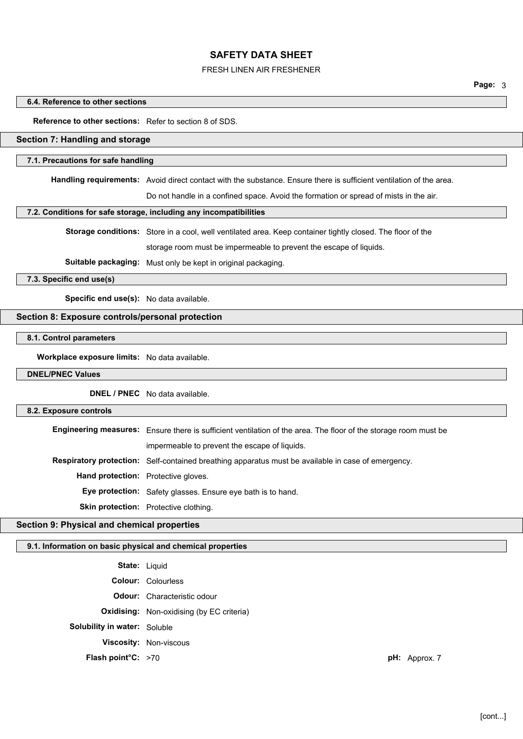### FRESH LINEN AIR FRESHENER

**Page:** 3

#### **6.4. Reference to other sections**

**Reference to other sections:** Refer to section 8 of SDS.

# **Section 7: Handling and storage**

## **7.1. Precautions for safe handling**

**Handling requirements:** Avoid direct contact with the substance. Ensure there is sufficient ventilation of the area.

Do not handle in a confined space. Avoid the formation or spread of mists in the air.

#### **7.2. Conditions for safe storage, including any incompatibilities**

**Storage conditions:** Store in a cool, well ventilated area. Keep container tightly closed. The floor of the storage room must be impermeable to prevent the escape of liquids.

**Suitable packaging:** Must only be kept in original packaging.

**7.3. Specific end use(s)**

**Specific end use(s):** No data available.

## **Section 8: Exposure controls/personal protection**

**8.1. Control parameters**

**Workplace exposure limits:** No data available.

# **DNEL/PNEC Values**

**DNEL / PNEC** No data available.

#### **8.2. Exposure controls**

**Engineering measures:** Ensure there is sufficient ventilation of the area. The floor of the storage room must be

impermeable to prevent the escape of liquids.

**Respiratory protection:** Self-contained breathing apparatus must be available in case of emergency.

**Hand protection:** Protective gloves.

**Eye protection:** Safety glasses. Ensure eye bath is to hand.

**Skin protection:** Protective clothing.

# **Section 9: Physical and chemical properties**

#### **9.1. Information on basic physical and chemical properties**

**State:** Liquid

**Colour:** Colourless **Odour:** Characteristic odour **Oxidising:** Non-oxidising (by EC criteria) **Solubility in water:** Soluble **Viscosity:** Non-viscous **Flash point°C:** >70 **pH:** Approx. 7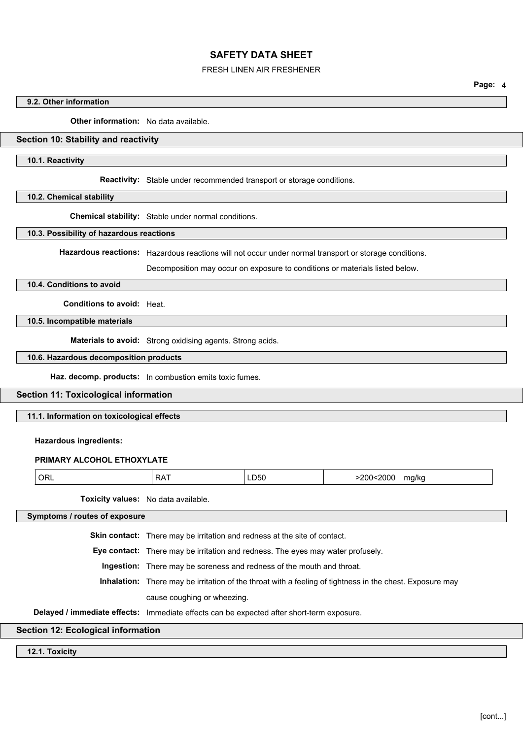#### FRESH LINEN AIR FRESHENER

**Page:** 4

# **9.2. Other information**

**Other information:** No data available.

# **Section 10: Stability and reactivity**

# **10.1. Reactivity**

**Reactivity:** Stable under recommended transport or storage conditions.

# **10.2. Chemical stability**

**Chemical stability:** Stable under normal conditions.

#### **10.3. Possibility of hazardous reactions**

**Hazardous reactions:** Hazardous reactions will not occur under normal transport or storage conditions.

Decomposition may occur on exposure to conditions or materials listed below.

### **10.4. Conditions to avoid**

**Conditions to avoid:** Heat.

## **10.5. Incompatible materials**

**Materials to avoid:** Strong oxidising agents. Strong acids.

#### **10.6. Hazardous decomposition products**

**Haz. decomp. products:** In combustion emits toxic fumes.

# **Section 11: Toxicological information**

#### **11.1. Information on toxicological effects**

#### **Hazardous ingredients:**

#### **PRIMARY ALCOHOL ETHOXYLATE**

| ORL | . . -<br>≒RА. | ∟∪ാ∪ | :2000<br>.200< | ma/ka<br>. . |
|-----|---------------|------|----------------|--------------|
|-----|---------------|------|----------------|--------------|

**Toxicity values:** No data available.

**Symptoms / routes of exposure**

**Skin contact:** There may be irritation and redness at the site of contact.

**Eye contact:** There may be irritation and redness. The eyes may water profusely.

**Ingestion:** There may be soreness and redness of the mouth and throat.

**Inhalation:** There may be irritation of the throat with a feeling of tightness in the chest. Exposure may

cause coughing or wheezing.

**Delayed / immediate effects:** Immediate effects can be expected after short-term exposure.

# **Section 12: Ecological information**

### **12.1. Toxicity**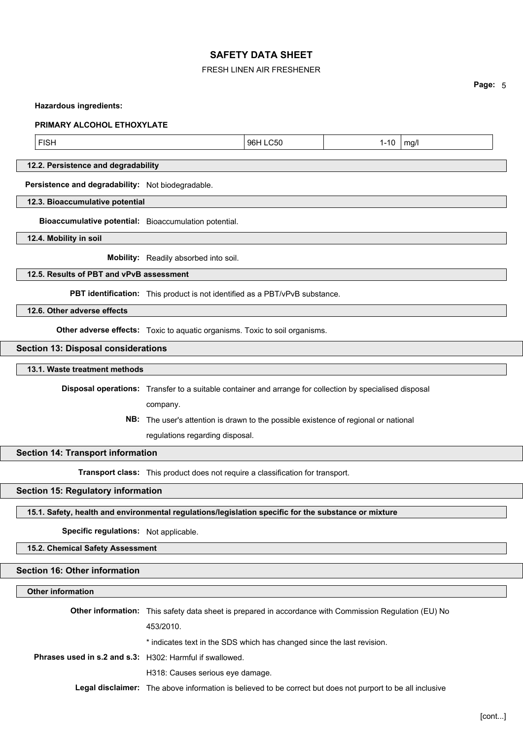# FRESH LINEN AIR FRESHENER

**Page:** 5

#### **Hazardous ingredients:**

#### **PRIMARY ALCOHOL ETHOXYLATE**

FISH 96H LC50 1-10 mg/l

## **12.2. Persistence and degradability**

**Persistence and degradability:** Not biodegradable.

## **12.3. Bioaccumulative potential**

**Bioaccumulative potential:** Bioaccumulation potential.

**12.4. Mobility in soil**

**Mobility:** Readily absorbed into soil.

# **12.5. Results of PBT and vPvB assessment**

**PBT identification:** This product is not identified as a PBT/vPvB substance.

**12.6. Other adverse effects**

**Other adverse effects:** Toxic to aquatic organisms. Toxic to soil organisms.

#### **Section 13: Disposal considerations**

#### **13.1. Waste treatment methods**

**Disposal operations:** Transfer to a suitable container and arrange for collection by specialised disposal

company.

**NB:** The user's attention is drawn to the possible existence of regional or national

regulations regarding disposal.

#### **Section 14: Transport information**

**Transport class:** This product does not require a classification for transport.

# **Section 15: Regulatory information**

### **15.1. Safety, health and environmental regulations/legislation specific for the substance or mixture**

**Specific regulations:** Not applicable.

#### **15.2. Chemical Safety Assessment**

# **Section 16: Other information**

# **Other information**

|                                                          | <b>Other information:</b> This safety data sheet is prepared in accordance with Commission Regulation (EU) No     |  |
|----------------------------------------------------------|-------------------------------------------------------------------------------------------------------------------|--|
|                                                          | 453/2010.                                                                                                         |  |
|                                                          | * indicates text in the SDS which has changed since the last revision.                                            |  |
| Phrases used in s.2 and s.3: H302: Harmful if swallowed. |                                                                                                                   |  |
|                                                          | H318: Causes serious eye damage.                                                                                  |  |
|                                                          | <b>Legal disclaimer:</b> The above information is believed to be correct but does not purport to be all inclusive |  |